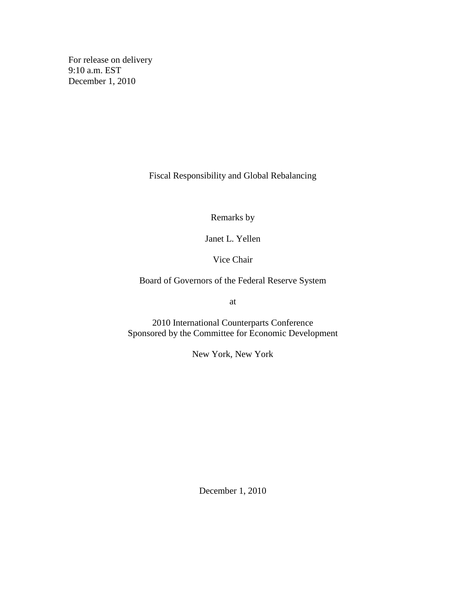For release on delivery 9:10 a.m. EST December 1, 2010

Fiscal Responsibility and Global Rebalancing

Remarks by

Janet L. Yellen

Vice Chair

Board of Governors of the Federal Reserve System

at

2010 International Counterparts Conference Sponsored by the Committee for Economic Development

New York, New York

December 1, 2010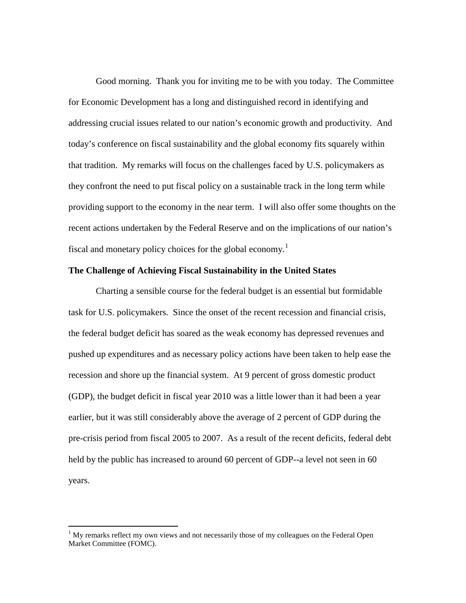Good morning. Thank you for inviting me to be with you today. The Committee for Economic Development has a long and distinguished record in identifying and addressing crucial issues related to our nation's economic growth and productivity. And today's conference on fiscal sustainability and the global economy fits squarely within that tradition. My remarks will focus on the challenges faced by U.S. policymakers as they confront the need to put fiscal policy on a sustainable track in the long term while providing support to the economy in the near term. I will also offer some thoughts on the recent actions undertaken by the Federal Reserve and on the implications of our nation's fiscal and monetary policy choices for the global economy.<sup>[1](#page-1-0)</sup>

## **The Challenge of Achieving Fiscal Sustainability in the United States**

Charting a sensible course for the federal budget is an essential but formidable task for U.S. policymakers. Since the onset of the recent recession and financial crisis, the federal budget deficit has soared as the weak economy has depressed revenues and pushed up expenditures and as necessary policy actions have been taken to help ease the recession and shore up the financial system. At 9 percent of gross domestic product (GDP), the budget deficit in fiscal year 2010 was a little lower than it had been a year earlier, but it was still considerably above the average of 2 percent of GDP during the pre-crisis period from fiscal 2005 to 2007. As a result of the recent deficits, federal debt held by the public has increased to around 60 percent of GDP--a level not seen in 60 years.

<span id="page-1-0"></span> $1$  My remarks reflect my own views and not necessarily those of my colleagues on the Federal Open Market Committee (FOMC).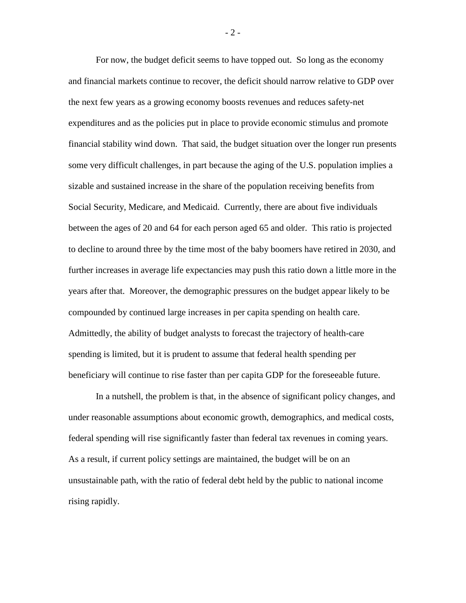For now, the budget deficit seems to have topped out. So long as the economy and financial markets continue to recover, the deficit should narrow relative to GDP over the next few years as a growing economy boosts revenues and reduces safety-net expenditures and as the policies put in place to provide economic stimulus and promote financial stability wind down. That said, the budget situation over the longer run presents some very difficult challenges, in part because the aging of the U.S. population implies a sizable and sustained increase in the share of the population receiving benefits from Social Security, Medicare, and Medicaid. Currently, there are about five individuals between the ages of 20 and 64 for each person aged 65 and older. This ratio is projected to decline to around three by the time most of the baby boomers have retired in 2030, and further increases in average life expectancies may push this ratio down a little more in the years after that. Moreover, the demographic pressures on the budget appear likely to be compounded by continued large increases in per capita spending on health care. Admittedly, the ability of budget analysts to forecast the trajectory of health-care spending is limited, but it is prudent to assume that federal health spending per beneficiary will continue to rise faster than per capita GDP for the foreseeable future.

In a nutshell, the problem is that, in the absence of significant policy changes, and under reasonable assumptions about economic growth, demographics, and medical costs, federal spending will rise significantly faster than federal tax revenues in coming years. As a result, if current policy settings are maintained, the budget will be on an unsustainable path, with the ratio of federal debt held by the public to national income rising rapidly.

- 2 -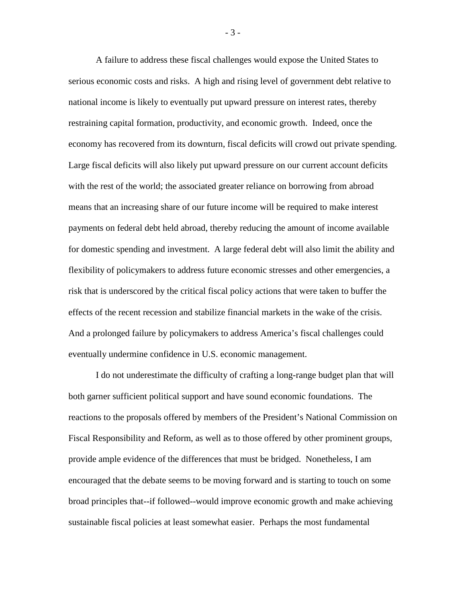A failure to address these fiscal challenges would expose the United States to serious economic costs and risks. A high and rising level of government debt relative to national income is likely to eventually put upward pressure on interest rates, thereby restraining capital formation, productivity, and economic growth. Indeed, once the economy has recovered from its downturn, fiscal deficits will crowd out private spending. Large fiscal deficits will also likely put upward pressure on our current account deficits with the rest of the world; the associated greater reliance on borrowing from abroad means that an increasing share of our future income will be required to make interest payments on federal debt held abroad, thereby reducing the amount of income available for domestic spending and investment. A large federal debt will also limit the ability and flexibility of policymakers to address future economic stresses and other emergencies, a risk that is underscored by the critical fiscal policy actions that were taken to buffer the effects of the recent recession and stabilize financial markets in the wake of the crisis. And a prolonged failure by policymakers to address America's fiscal challenges could eventually undermine confidence in U.S. economic management.

I do not underestimate the difficulty of crafting a long-range budget plan that will both garner sufficient political support and have sound economic foundations. The reactions to the proposals offered by members of the President's National Commission on Fiscal Responsibility and Reform, as well as to those offered by other prominent groups, provide ample evidence of the differences that must be bridged. Nonetheless, I am encouraged that the debate seems to be moving forward and is starting to touch on some broad principles that--if followed--would improve economic growth and make achieving sustainable fiscal policies at least somewhat easier. Perhaps the most fundamental

- 3 -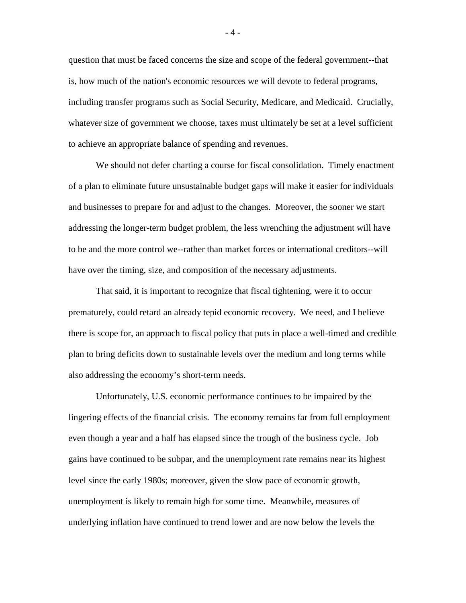question that must be faced concerns the size and scope of the federal government--that is, how much of the nation's economic resources we will devote to federal programs, including transfer programs such as Social Security, Medicare, and Medicaid. Crucially, whatever size of government we choose, taxes must ultimately be set at a level sufficient to achieve an appropriate balance of spending and revenues.

We should not defer charting a course for fiscal consolidation. Timely enactment of a plan to eliminate future unsustainable budget gaps will make it easier for individuals and businesses to prepare for and adjust to the changes. Moreover, the sooner we start addressing the longer-term budget problem, the less wrenching the adjustment will have to be and the more control we--rather than market forces or international creditors--will have over the timing, size, and composition of the necessary adjustments.

That said, it is important to recognize that fiscal tightening, were it to occur prematurely, could retard an already tepid economic recovery. We need, and I believe there is scope for, an approach to fiscal policy that puts in place a well-timed and credible plan to bring deficits down to sustainable levels over the medium and long terms while also addressing the economy's short-term needs.

Unfortunately, U.S. economic performance continues to be impaired by the lingering effects of the financial crisis. The economy remains far from full employment even though a year and a half has elapsed since the trough of the business cycle. Job gains have continued to be subpar, and the unemployment rate remains near its highest level since the early 1980s; moreover, given the slow pace of economic growth, unemployment is likely to remain high for some time. Meanwhile, measures of underlying inflation have continued to trend lower and are now below the levels the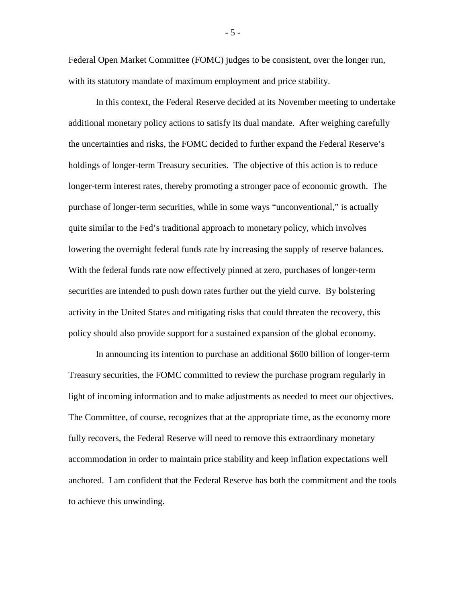Federal Open Market Committee (FOMC) judges to be consistent, over the longer run, with its statutory mandate of maximum employment and price stability.

In this context, the Federal Reserve decided at its November meeting to undertake additional monetary policy actions to satisfy its dual mandate. After weighing carefully the uncertainties and risks, the FOMC decided to further expand the Federal Reserve's holdings of longer-term Treasury securities. The objective of this action is to reduce longer-term interest rates, thereby promoting a stronger pace of economic growth. The purchase of longer-term securities, while in some ways "unconventional," is actually quite similar to the Fed's traditional approach to monetary policy, which involves lowering the overnight federal funds rate by increasing the supply of reserve balances. With the federal funds rate now effectively pinned at zero, purchases of longer-term securities are intended to push down rates further out the yield curve. By bolstering activity in the United States and mitigating risks that could threaten the recovery, this policy should also provide support for a sustained expansion of the global economy.

In announcing its intention to purchase an additional \$600 billion of longer-term Treasury securities, the FOMC committed to review the purchase program regularly in light of incoming information and to make adjustments as needed to meet our objectives. The Committee, of course, recognizes that at the appropriate time, as the economy more fully recovers, the Federal Reserve will need to remove this extraordinary monetary accommodation in order to maintain price stability and keep inflation expectations well anchored. I am confident that the Federal Reserve has both the commitment and the tools to achieve this unwinding.

- 5 -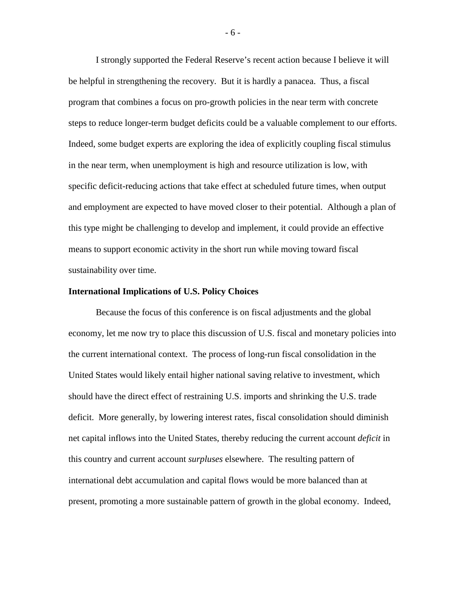I strongly supported the Federal Reserve's recent action because I believe it will be helpful in strengthening the recovery. But it is hardly a panacea. Thus, a fiscal program that combines a focus on pro-growth policies in the near term with concrete steps to reduce longer-term budget deficits could be a valuable complement to our efforts. Indeed, some budget experts are exploring the idea of explicitly coupling fiscal stimulus in the near term, when unemployment is high and resource utilization is low, with specific deficit-reducing actions that take effect at scheduled future times, when output and employment are expected to have moved closer to their potential. Although a plan of this type might be challenging to develop and implement, it could provide an effective means to support economic activity in the short run while moving toward fiscal sustainability over time.

## **International Implications of U.S. Policy Choices**

Because the focus of this conference is on fiscal adjustments and the global economy, let me now try to place this discussion of U.S. fiscal and monetary policies into the current international context. The process of long-run fiscal consolidation in the United States would likely entail higher national saving relative to investment, which should have the direct effect of restraining U.S. imports and shrinking the U.S. trade deficit. More generally, by lowering interest rates, fiscal consolidation should diminish net capital inflows into the United States, thereby reducing the current account *deficit* in this country and current account *surpluses* elsewhere. The resulting pattern of international debt accumulation and capital flows would be more balanced than at present, promoting a more sustainable pattern of growth in the global economy. Indeed,

- 6 -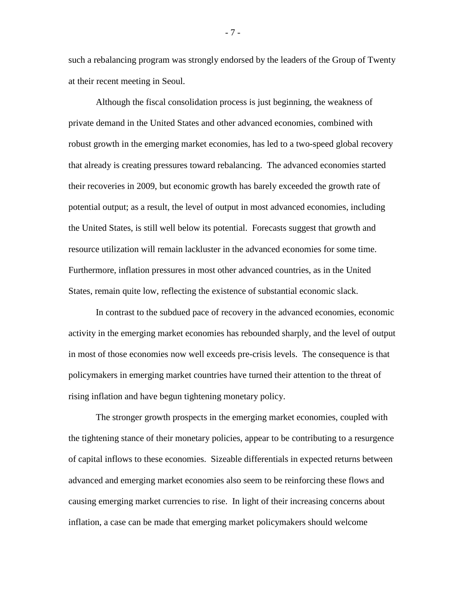such a rebalancing program was strongly endorsed by the leaders of the Group of Twenty at their recent meeting in Seoul.

Although the fiscal consolidation process is just beginning, the weakness of private demand in the United States and other advanced economies, combined with robust growth in the emerging market economies, has led to a two-speed global recovery that already is creating pressures toward rebalancing. The advanced economies started their recoveries in 2009, but economic growth has barely exceeded the growth rate of potential output; as a result, the level of output in most advanced economies, including the United States, is still well below its potential. Forecasts suggest that growth and resource utilization will remain lackluster in the advanced economies for some time. Furthermore, inflation pressures in most other advanced countries, as in the United States, remain quite low, reflecting the existence of substantial economic slack.

In contrast to the subdued pace of recovery in the advanced economies, economic activity in the emerging market economies has rebounded sharply, and the level of output in most of those economies now well exceeds pre-crisis levels. The consequence is that policymakers in emerging market countries have turned their attention to the threat of rising inflation and have begun tightening monetary policy.

The stronger growth prospects in the emerging market economies, coupled with the tightening stance of their monetary policies, appear to be contributing to a resurgence of capital inflows to these economies. Sizeable differentials in expected returns between advanced and emerging market economies also seem to be reinforcing these flows and causing emerging market currencies to rise. In light of their increasing concerns about inflation, a case can be made that emerging market policymakers should welcome

- 7 -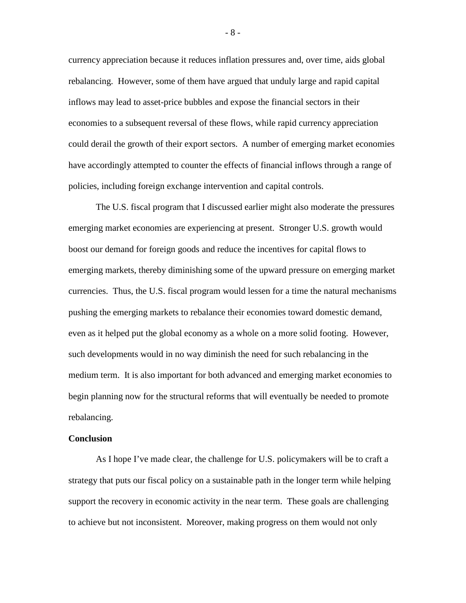currency appreciation because it reduces inflation pressures and, over time, aids global rebalancing. However, some of them have argued that unduly large and rapid capital inflows may lead to asset-price bubbles and expose the financial sectors in their economies to a subsequent reversal of these flows, while rapid currency appreciation could derail the growth of their export sectors. A number of emerging market economies have accordingly attempted to counter the effects of financial inflows through a range of policies, including foreign exchange intervention and capital controls.

The U.S. fiscal program that I discussed earlier might also moderate the pressures emerging market economies are experiencing at present. Stronger U.S. growth would boost our demand for foreign goods and reduce the incentives for capital flows to emerging markets, thereby diminishing some of the upward pressure on emerging market currencies. Thus, the U.S. fiscal program would lessen for a time the natural mechanisms pushing the emerging markets to rebalance their economies toward domestic demand, even as it helped put the global economy as a whole on a more solid footing. However, such developments would in no way diminish the need for such rebalancing in the medium term. It is also important for both advanced and emerging market economies to begin planning now for the structural reforms that will eventually be needed to promote rebalancing.

## **Conclusion**

As I hope I've made clear, the challenge for U.S. policymakers will be to craft a strategy that puts our fiscal policy on a sustainable path in the longer term while helping support the recovery in economic activity in the near term. These goals are challenging to achieve but not inconsistent. Moreover, making progress on them would not only

- 8 -